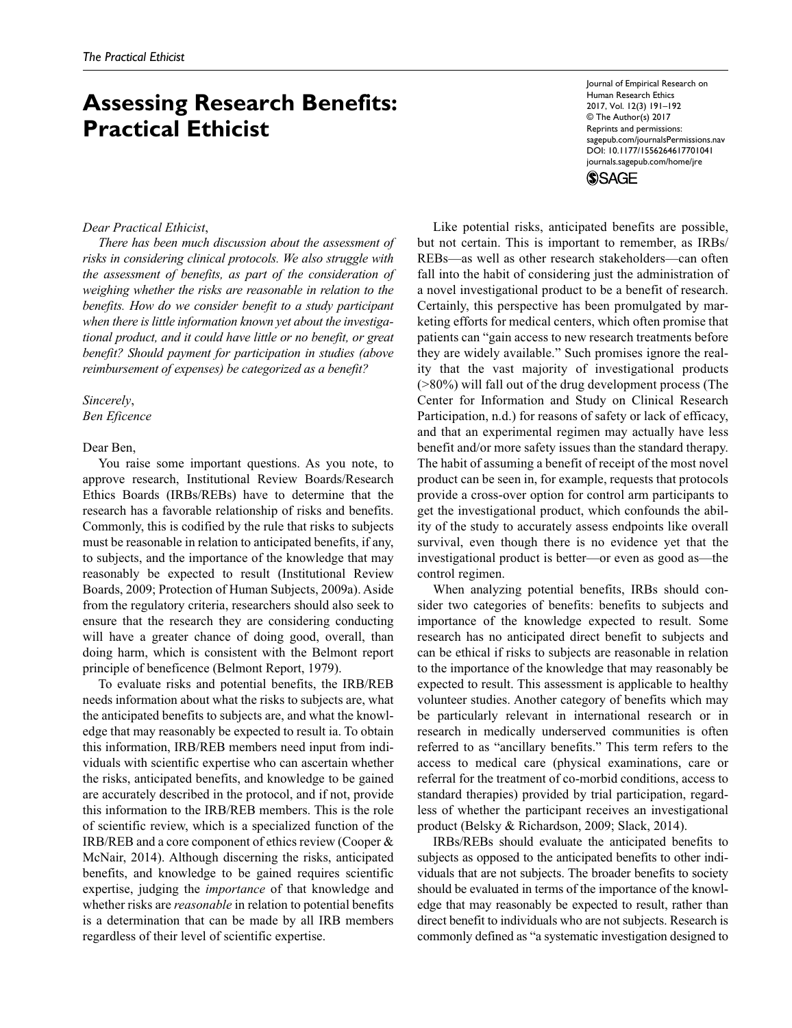# **Assessing Research Benefits: Practical Ethicist**

Journal of Empirical Research on Human Research Ethics 2017, Vol. 12(3) 191–192 © The Author(s) 2017 Reprints and permissions: [sagepub.com/journalsPermissions.nav](https://us.sagepub.com/en-us/journals-permissions) https://doi.org/10.1177/1556264617701041 DOI: 10.1177/1556264617701041 [journals.sagepub.com/home/jre](https://journals.sagepub.com/home/jre) **SSAGE** 

### *Dear Practical Ethicist*,

*There has been much discussion about the assessment of risks in considering clinical protocols. We also struggle with the assessment of benefits, as part of the consideration of weighing whether the risks are reasonable in relation to the benefits. How do we consider benefit to a study participant when there is little information known yet about the investigational product, and it could have little or no benefit, or great benefit? Should payment for participation in studies (above reimbursement of expenses) be categorized as a benefit?*

## *Sincerely*, *Ben Eficence*

#### Dear Ben,

You raise some important questions. As you note, to approve research, Institutional Review Boards/Research Ethics Boards (IRBs/REBs) have to determine that the research has a favorable relationship of risks and benefits. Commonly, this is codified by the rule that risks to subjects must be reasonable in relation to anticipated benefits, if any, to subjects, and the importance of the knowledge that may reasonably be expected to result (Institutional Review Boards, 2009; Protection of Human Subjects, 2009a). Aside from the regulatory criteria, researchers should also seek to ensure that the research they are considering conducting will have a greater chance of doing good, overall, than doing harm, which is consistent with the Belmont report principle of beneficence (Belmont Report, 1979).

To evaluate risks and potential benefits, the IRB/REB needs information about what the risks to subjects are, what the anticipated benefits to subjects are, and what the knowledge that may reasonably be expected to result ia. To obtain this information, IRB/REB members need input from individuals with scientific expertise who can ascertain whether the risks, anticipated benefits, and knowledge to be gained are accurately described in the protocol, and if not, provide this information to the IRB/REB members. This is the role of scientific review, which is a specialized function of the IRB/REB and a core component of ethics review (Cooper & McNair, 2014). Although discerning the risks, anticipated benefits, and knowledge to be gained requires scientific expertise, judging the *importance* of that knowledge and whether risks are *reasonable* in relation to potential benefits is a determination that can be made by all IRB members regardless of their level of scientific expertise.

Like potential risks, anticipated benefits are possible, but not certain. This is important to remember, as IRBs/ REBs—as well as other research stakeholders—can often fall into the habit of considering just the administration of a novel investigational product to be a benefit of research. Certainly, this perspective has been promulgated by marketing efforts for medical centers, which often promise that patients can "gain access to new research treatments before they are widely available." Such promises ignore the reality that the vast majority of investigational products (>80%) will fall out of the drug development process (The Center for Information and Study on Clinical Research Participation, n.d.) for reasons of safety or lack of efficacy, and that an experimental regimen may actually have less benefit and/or more safety issues than the standard therapy. The habit of assuming a benefit of receipt of the most novel product can be seen in, for example, requests that protocols provide a cross-over option for control arm participants to get the investigational product, which confounds the ability of the study to accurately assess endpoints like overall survival, even though there is no evidence yet that the investigational product is better—or even as good as—the control regimen.

When analyzing potential benefits, IRBs should consider two categories of benefits: benefits to subjects and importance of the knowledge expected to result. Some research has no anticipated direct benefit to subjects and can be ethical if risks to subjects are reasonable in relation to the importance of the knowledge that may reasonably be expected to result. This assessment is applicable to healthy volunteer studies. Another category of benefits which may be particularly relevant in international research or in research in medically underserved communities is often referred to as "ancillary benefits." This term refers to the access to medical care (physical examinations, care or referral for the treatment of co-morbid conditions, access to standard therapies) provided by trial participation, regardless of whether the participant receives an investigational product (Belsky & Richardson, 2009; Slack, 2014).

IRBs/REBs should evaluate the anticipated benefits to subjects as opposed to the anticipated benefits to other individuals that are not subjects. The broader benefits to society should be evaluated in terms of the importance of the knowledge that may reasonably be expected to result, rather than direct benefit to individuals who are not subjects. Research is commonly defined as "a systematic investigation designed to